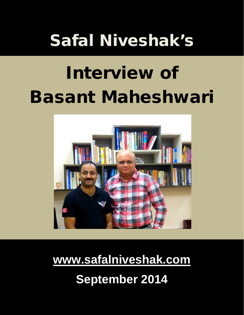# Safal Niveshak's

# Interview of Basant Maheshwari



**[www.safalniveshak.com](http://www.safalniveshak.com/) September 2014**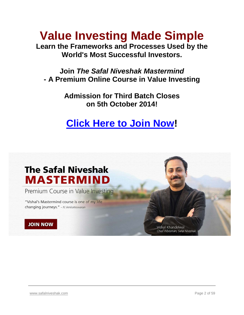# **Value Investing Made Simple**

**Learn the Frameworks and Processes Used by the World's Most Successful Investors.**

**Join** *The Safal Niveshak Mastermind* **- A Premium Online Course in Value Investing**

> **Admission for Third Batch Closes on 5th October 2014!**

# **[Click Here to Join Now!](http://mastermind.safalniveshak.com/subscribe/)**

# **The Safal Niveshak MASTERMIND**

Premium Course in Value Investing

"Vishal's Mastermind course is one of my life changing journeys." - N.Venkateswaran

#### **JOIN NOW**

Vishal Khandelwal Chief Tribesman, Safal Niveshak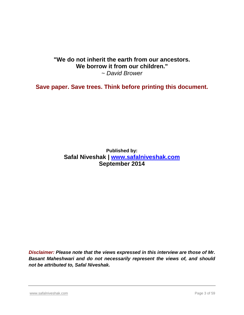#### **"We do not inherit the earth from our ancestors. We borrow it from our children."** *~ David Brower*

**Save paper. Save trees. Think before printing this document.**

**Published by: Safal Niveshak | [www.safalniveshak.com](http://www.safalniveshak.com/) September 2014**

*Disclaimer: Please note that the views expressed in this interview are those of Mr. Basant Maheshwari and do not necessarily represent the views of, and should not be attributed to, Safal Niveshak.*

[www.safalniveshak.com](http://www.safalniveshak.com/) **Page 3 of 59** and the page 3 of 59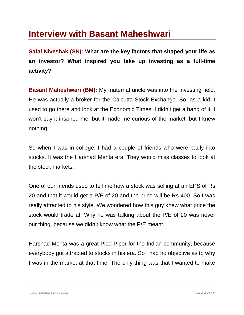## **Interview with Basant Maheshwari**

**Safal Niveshak (SN): What are the key factors that shaped your life as an investor? What inspired you take up investing as a full-time activity?**

**Basant Maheshwari (BM):** My maternal uncle was into the investing field. He was actually a broker for the Calcutta Stock Exchange. So, as a kid, I used to go there and look at the Economic Times. I didn't get a hang of it. I won't say it inspired me, but it made me curious of the market, but I knew nothing.

So when I was in college, I had a couple of friends who were badly into stocks. It was the Harshad Mehta era. They would miss classes to look at the stock markets.

One of our friends used to tell me how a stock was selling at an EPS of Rs 20 and that it would get a P/E of 20 and the price will be Rs 400. So I was really attracted to his style. We wondered how this guy knew what price the stock would trade at. Why he was talking about the P/E of 20 was never our thing, because we didn't know what the P/E meant.

Harshad Mehta was a great Pied Piper for the Indian community, because everybody got attracted to stocks in his era. So I had no objective as to why I was in the market at that time. The only thing was that I wanted to make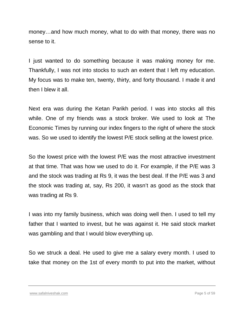money…and how much money, what to do with that money, there was no sense to it.

I just wanted to do something because it was making money for me. Thankfully, I was not into stocks to such an extent that I left my education. My focus was to make ten, twenty, thirty, and forty thousand. I made it and then I blew it all.

Next era was during the Ketan Parikh period. I was into stocks all this while. One of my friends was a stock broker. We used to look at The Economic Times by running our index fingers to the right of where the stock was. So we used to identify the lowest P/E stock selling at the lowest price.

So the lowest price with the lowest P/E was the most attractive investment at that time. That was how we used to do it. For example, if the P/E was 3 and the stock was trading at Rs 9, it was the best deal. If the P/E was 3 and the stock was trading at, say, Rs 200, it wasn't as good as the stock that was trading at Rs 9.

I was into my family business, which was doing well then. I used to tell my father that I wanted to invest, but he was against it. He said stock market was gambling and that I would blow everything up.

So we struck a deal. He used to give me a salary every month. I used to take that money on the 1st of every month to put into the market, without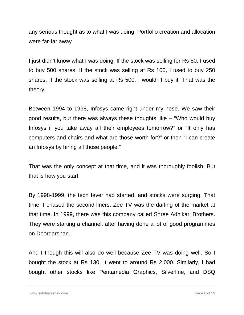any serious thought as to what I was doing. Portfolio creation and allocation were far-far away.

I just didn't know what I was doing. If the stock was selling for Rs 50, I used to buy 500 shares. If the stock was selling at Rs 100, I used to buy 250 shares. If the stock was selling at Rs 500, I wouldn't buy it. That was the theory.

Between 1994 to 1998, Infosys came right under my nose. We saw their good results, but there was always these thoughts like – "Who would buy Infosys if you take away all their employees tomorrow?" or "It only has computers and chairs and what are those worth for?" or then "I can create an Infosys by hiring all those people."

That was the only concept at that time, and it was thoroughly foolish. But that is how you start.

By 1998-1999, the tech fever had started, and stocks were surging. That time, I chased the second-liners. Zee TV was the darling of the market at that time. In 1999, there was this company called Shree Adhikari Brothers. They were starting a channel, after having done a lot of good programmes on Doordarshan.

And I though this will also do well because Zee TV was doing well. So I bought the stock at Rs 130. It went to around Rs 2,000. Similarly, I had bought other stocks like Pentamedia Graphics, Silverline, and DSQ

[www.safalniveshak.com](http://www.safalniveshak.com/) **Page 6 of 59** and the page 6 of 59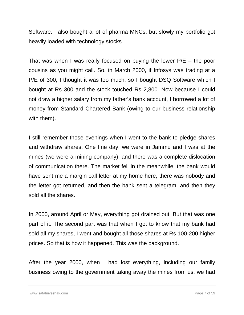Software. I also bought a lot of pharma MNCs, but slowly my portfolio got heavily loaded with technology stocks.

That was when I was really focused on buying the lower  $P/E -$  the poor cousins as you might call. So, in March 2000, if Infosys was trading at a P/E of 300, I thought it was too much, so I bought DSQ Software which I bought at Rs 300 and the stock touched Rs 2,800. Now because I could not draw a higher salary from my father's bank account, I borrowed a lot of money from Standard Chartered Bank (owing to our business relationship with them).

I still remember those evenings when I went to the bank to pledge shares and withdraw shares. One fine day, we were in Jammu and I was at the mines (we were a mining company), and there was a complete dislocation of communication there. The market fell in the meanwhile, the bank would have sent me a margin call letter at my home here, there was nobody and the letter got returned, and then the bank sent a telegram, and then they sold all the shares.

In 2000, around April or May, everything got drained out. But that was one part of it. The second part was that when I got to know that my bank had sold all my shares, I went and bought all those shares at Rs 100-200 higher prices. So that is how it happened. This was the background.

After the year 2000, when I had lost everything, including our family business owing to the government taking away the mines from us, we had

[www.safalniveshak.com](http://www.safalniveshak.com/) **Page 7** of 59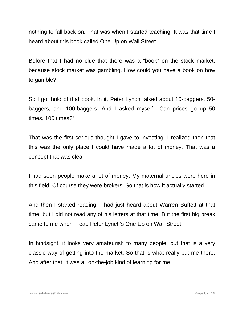nothing to fall back on. That was when I started teaching. It was that time I heard about this book called One Up on Wall Street.

Before that I had no clue that there was a "book" on the stock market, because stock market was gambling. How could you have a book on how to gamble?

So I got hold of that book. In it, Peter Lynch talked about 10-baggers, 50 baggers, and 100-baggers. And I asked myself, "Can prices go up 50 times, 100 times?"

That was the first serious thought I gave to investing. I realized then that this was the only place I could have made a lot of money. That was a concept that was clear.

I had seen people make a lot of money. My maternal uncles were here in this field. Of course they were brokers. So that is how it actually started.

And then I started reading. I had just heard about Warren Buffett at that time, but I did not read any of his letters at that time. But the first big break came to me when I read Peter Lynch's One Up on Wall Street.

In hindsight, it looks very amateurish to many people, but that is a very classic way of getting into the market. So that is what really put me there. And after that, it was all on-the-job kind of learning for me.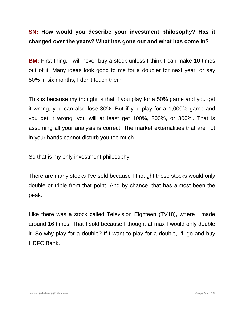#### **SN: How would you describe your investment philosophy? Has it changed over the years? What has gone out and what has come in?**

**BM:** First thing, I will never buy a stock unless I think I can make 10-times out of it. Many ideas look good to me for a doubler for next year, or say 50% in six months, I don't touch them.

This is because my thought is that if you play for a 50% game and you get it wrong, you can also lose 30%. But if you play for a 1,000% game and you get it wrong, you will at least get 100%, 200%, or 300%. That is assuming all your analysis is correct. The market externalities that are not in your hands cannot disturb you too much.

So that is my only investment philosophy.

There are many stocks I've sold because I thought those stocks would only double or triple from that point. And by chance, that has almost been the peak.

Like there was a stock called Television Eighteen (TV18), where I made around 16 times. That I sold because I thought at max I would only double it. So why play for a double? If I want to play for a double, I'll go and buy HDFC Bank.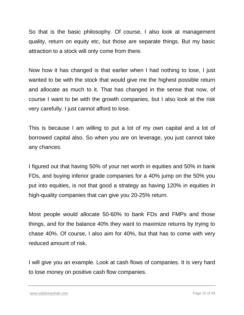So that is the basic philosophy. Of course, I also look at management quality, return on equity etc, but those are separate things. But my basic attraction to a stock will only come from there.

Now how it has changed is that earlier when I had nothing to lose, I just wanted to be with the stock that would give me the highest possible return and allocate as much to it. That has changed in the sense that now, of course I want to be with the growth companies, but I also look at the risk very carefully. I just cannot afford to lose.

This is because I am willing to put a lot of my own capital and a lot of borrowed capital also. So when you are on leverage, you just cannot take any chances.

I figured out that having 50% of your net worth in equities and 50% in bank FDs, and buying inferior grade companies for a 40% jump on the 50% you put into equities, is not that good a strategy as having 120% in equities in high-quality companies that can give you 20-25% return.

Most people would allocate 50-60% to bank FDs and FMPs and those things, and for the balance 40% they want to maximize returns by trying to chase 40%. Of course, I also aim for 40%, but that has to come with very reduced amount of risk.

I will give you an example. Look at cash flows of companies. It is very hard to lose money on positive cash flow companies.

[www.safalniveshak.com](http://www.safalniveshak.com/) Page 10 of 59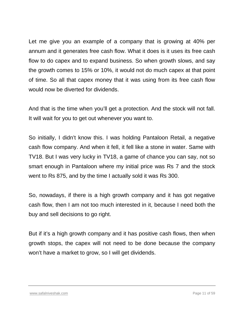Let me give you an example of a company that is growing at 40% per annum and it generates free cash flow. What it does is it uses its free cash flow to do capex and to expand business. So when growth slows, and say the growth comes to 15% or 10%, it would not do much capex at that point of time. So all that capex money that it was using from its free cash flow would now be diverted for dividends.

And that is the time when you'll get a protection. And the stock will not fall. It will wait for you to get out whenever you want to.

So initially, I didn't know this. I was holding Pantaloon Retail, a negative cash flow company. And when it fell, it fell like a stone in water. Same with TV18. But I was very lucky in TV18, a game of chance you can say, not so smart enough in Pantaloon where my initial price was Rs 7 and the stock went to Rs 875, and by the time I actually sold it was Rs 300.

So, nowadays, if there is a high growth company and it has got negative cash flow, then I am not too much interested in it, because I need both the buy and sell decisions to go right.

But if it's a high growth company and it has positive cash flows, then when growth stops, the capex will not need to be done because the company won't have a market to grow, so I will get dividends.

#### [www.safalniveshak.com](http://www.safalniveshak.com/) Page 11 of 59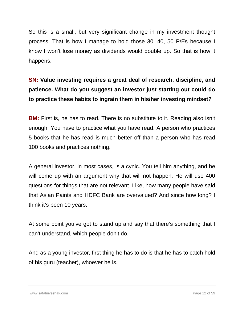So this is a small, but very significant change in my investment thought process. That is how I manage to hold those 30, 40, 50 P/Es because I know I won't lose money as dividends would double up. So that is how it happens.

## **SN: Value investing requires a great deal of research, discipline, and patience. What do you suggest an investor just starting out could do to practice these habits to ingrain them in his/her investing mindset?**

**BM:** First is, he has to read. There is no substitute to it. Reading also isn't enough. You have to practice what you have read. A person who practices 5 books that he has read is much better off than a person who has read 100 books and practices nothing.

A general investor, in most cases, is a cynic. You tell him anything, and he will come up with an argument why that will not happen. He will use 400 questions for things that are not relevant. Like, how many people have said that Asian Paints and HDFC Bank are overvalued? And since how long? I think it's been 10 years.

At some point you've got to stand up and say that there's something that I can't understand, which people don't do.

And as a young investor, first thing he has to do is that he has to catch hold of his guru (teacher), whoever he is.

[www.safalniveshak.com](http://www.safalniveshak.com/) Page 12 of 59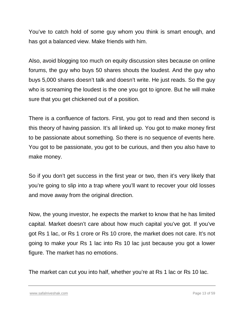You've to catch hold of some guy whom you think is smart enough, and has got a balanced view. Make friends with him.

Also, avoid blogging too much on equity discussion sites because on online forums, the guy who buys 50 shares shouts the loudest. And the guy who buys 5,000 shares doesn't talk and doesn't write. He just reads. So the guy who is screaming the loudest is the one you got to ignore. But he will make sure that you get chickened out of a position.

There is a confluence of factors. First, you got to read and then second is this theory of having passion. It's all linked up. You got to make money first to be passionate about something. So there is no sequence of events here. You got to be passionate, you got to be curious, and then you also have to make money.

So if you don't get success in the first year or two, then it's very likely that you're going to slip into a trap where you'll want to recover your old losses and move away from the original direction.

Now, the young investor, he expects the market to know that he has limited capital. Market doesn't care about how much capital you've got. If you've got Rs 1 lac, or Rs 1 crore or Rs 10 crore, the market does not care. It's not going to make your Rs 1 lac into Rs 10 lac just because you got a lower figure. The market has no emotions.

The market can cut you into half, whether you're at Rs 1 lac or Rs 10 lac.

[www.safalniveshak.com](http://www.safalniveshak.com/) Page 13 of 59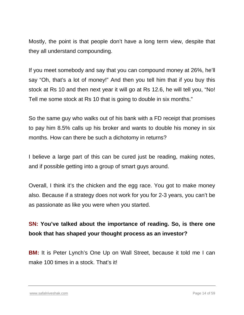Mostly, the point is that people don't have a long term view, despite that they all understand compounding.

If you meet somebody and say that you can compound money at 26%, he'll say "Oh, that's a lot of money!" And then you tell him that if you buy this stock at Rs 10 and then next year it will go at Rs 12.6, he will tell you, "No! Tell me some stock at Rs 10 that is going to double in six months."

So the same guy who walks out of his bank with a FD receipt that promises to pay him 8.5% calls up his broker and wants to double his money in six months. How can there be such a dichotomy in returns?

I believe a large part of this can be cured just be reading, making notes, and if possible getting into a group of smart guys around.

Overall, I think it's the chicken and the egg race. You got to make money also. Because if a strategy does not work for you for 2-3 years, you can't be as passionate as like you were when you started.

## **SN: You've talked about the importance of reading. So, is there one book that has shaped your thought process as an investor?**

**BM:** It is Peter Lynch's One Up on Wall Street, because it told me I can make 100 times in a stock. That's it!

[www.safalniveshak.com](http://www.safalniveshak.com/) Page 14 of 59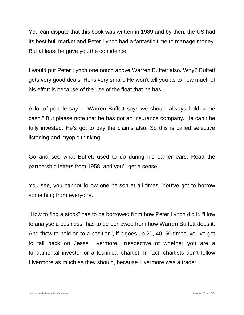You can dispute that this book was written in 1989 and by then, the US had its best bull market and Peter Lynch had a fantastic time to manage money. But at least he gave you the confidence.

I would put Peter Lynch one notch above Warren Buffett also. Why? Buffett gets very good deals. He is very smart. He won't tell you as to how much of his effort is because of the use of the float that he has.

A lot of people say – "Warren Buffett says we should always hold some cash." But please note that he has got an insurance company. He can't be fully invested. He's got to pay the claims also. So this is called selective listening and myopic thinking.

Go and see what Buffett used to do during his earlier ears. Read the partnership letters from 1958, and you'll get a sense.

You see, you cannot follow one person at all times. You've got to borrow something from everyone.

"How to find a stock" has to be borrowed from how Peter Lynch did it. "How to analyse a business" has to be borrowed from how Warren Buffett does it. And "how to hold on to a position", if it goes up 20, 40, 50 times, you've got to fall back on Jesse Livermore, irrespective of whether you are a fundamental investor or a technical chartist. In fact, chartists don't follow Livermore as much as they should, because Livermore was a trader.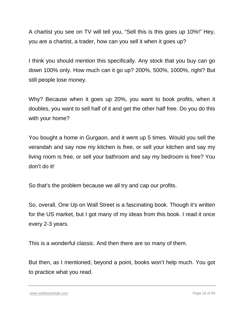A chartist you see on TV will tell you, "Sell this is this goes up 10%!" Hey, you are a chartist, a trader, how can you sell it when it goes up?

I think you should mention this specifically. Any stock that you buy can go down 100% only. How much can it go up? 200%, 500%, 1000%, right? But still people lose money.

Why? Because when it goes up 20%, you want to book profits, when it doubles, you want to sell half of it and get the other half free. Do you do this with your home?

You bought a home in Gurgaon, and it went up 5 times. Would you sell the verandah and say now my kitchen is free, or sell your kitchen and say my living room is free, or sell your bathroom and say my bedroom is free? You don't do it!

So that's the problem because we all try and cap our profits.

So, overall, One Up on Wall Street is a fascinating book. Though it's written for the US market, but I got many of my ideas from this book. I read it once every 2-3 years.

This is a wonderful classic. And then there are so many of them.

But then, as I mentioned, beyond a point, books won't help much. You got to practice what you read.

[www.safalniveshak.com](http://www.safalniveshak.com/) Page 16 of 59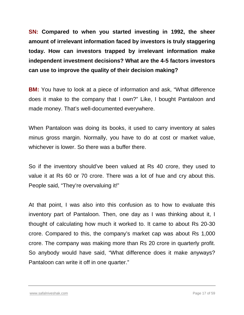**SN: Compared to when you started investing in 1992, the sheer amount of irrelevant information faced by investors is truly staggering today. How can investors trapped by irrelevant information make independent investment decisions? What are the 4-5 factors investors can use to improve the quality of their decision making?**

**BM:** You have to look at a piece of information and ask, "What difference does it make to the company that I own?" Like, I bought Pantaloon and made money. That's well-documented everywhere.

When Pantaloon was doing its books, it used to carry inventory at sales minus gross margin. Normally, you have to do at cost or market value, whichever is lower. So there was a buffer there.

So if the inventory should've been valued at Rs 40 crore, they used to value it at Rs 60 or 70 crore. There was a lot of hue and cry about this. People said, "They're overvaluing it!"

At that point, I was also into this confusion as to how to evaluate this inventory part of Pantaloon. Then, one day as I was thinking about it, I thought of calculating how much it worked to. It came to about Rs 20-30 crore. Compared to this, the company's market cap was about Rs 1,000 crore. The company was making more than Rs 20 crore in quarterly profit. So anybody would have said, "What difference does it make anyways? Pantaloon can write it off in one quarter."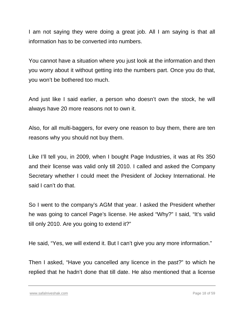I am not saying they were doing a great job. All I am saying is that all information has to be converted into numbers.

You cannot have a situation where you just look at the information and then you worry about it without getting into the numbers part. Once you do that, you won't be bothered too much.

And just like I said earlier, a person who doesn't own the stock, he will always have 20 more reasons not to own it.

Also, for all multi-baggers, for every one reason to buy them, there are ten reasons why you should not buy them.

Like I'll tell you, in 2009, when I bought Page Industries, it was at Rs 350 and their license was valid only till 2010. I called and asked the Company Secretary whether I could meet the President of Jockey International. He said I can't do that.

So I went to the company's AGM that year. I asked the President whether he was going to cancel Page's license. He asked "Why?" I said, "It's valid till only 2010. Are you going to extend it?"

He said, "Yes, we will extend it. But I can't give you any more information."

Then I asked, "Have you cancelled any licence in the past?" to which he replied that he hadn't done that till date. He also mentioned that a license

[www.safalniveshak.com](http://www.safalniveshak.com/) Page 18 of 59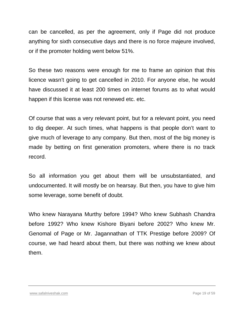can be cancelled, as per the agreement, only if Page did not produce anything for sixth consecutive days and there is no force majeure involved, or if the promoter holding went below 51%.

So these two reasons were enough for me to frame an opinion that this licence wasn't going to get cancelled in 2010. For anyone else, he would have discussed it at least 200 times on internet forums as to what would happen if this license was not renewed etc. etc.

Of course that was a very relevant point, but for a relevant point, you need to dig deeper. At such times, what happens is that people don't want to give much of leverage to any company. But then, most of the big money is made by betting on first generation promoters, where there is no track record.

So all information you get about them will be unsubstantiated, and undocumented. It will mostly be on hearsay. But then, you have to give him some leverage, some benefit of doubt.

Who knew Narayana Murthy before 1994? Who knew Subhash Chandra before 1992? Who knew Kishore Biyani before 2002? Who knew Mr. Genomal of Page or Mr. Jagannathan of TTK Prestige before 2009? Of course, we had heard about them, but there was nothing we knew about them.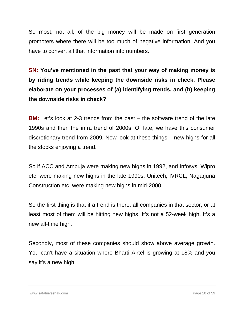So most, not all, of the big money will be made on first generation promoters where there will be too much of negative information. And you have to convert all that information into numbers.

**SN: You've mentioned in the past that your way of making money is by riding trends while keeping the downside risks in check. Please elaborate on your processes of (a) identifying trends, and (b) keeping the downside risks in check?**

**BM:** Let's look at 2-3 trends from the past – the software trend of the late 1990s and then the infra trend of 2000s. Of late, we have this consumer discretionary trend from 2009. Now look at these things – new highs for all the stocks enjoying a trend.

So if ACC and Ambuja were making new highs in 1992, and Infosys, Wipro etc. were making new highs in the late 1990s, Unitech, IVRCL, Nagarjuna Construction etc. were making new highs in mid-2000.

So the first thing is that if a trend is there, all companies in that sector, or at least most of them will be hitting new highs. It's not a 52-week high. It's a new all-time high.

Secondly, most of these companies should show above average growth. You can't have a situation where Bharti Airtel is growing at 18% and you say it's a new high.

[www.safalniveshak.com](http://www.safalniveshak.com/) Page 20 of 59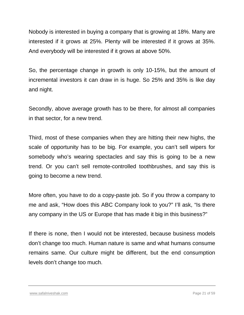Nobody is interested in buying a company that is growing at 18%. Many are interested if it grows at 25%. Plenty will be interested if it grows at 35%. And everybody will be interested if it grows at above 50%.

So, the percentage change in growth is only 10-15%, but the amount of incremental investors it can draw in is huge. So 25% and 35% is like day and night.

Secondly, above average growth has to be there, for almost all companies in that sector, for a new trend.

Third, most of these companies when they are hitting their new highs, the scale of opportunity has to be big. For example, you can't sell wipers for somebody who's wearing spectacles and say this is going to be a new trend. Or you can't sell remote-controlled toothbrushes, and say this is going to become a new trend.

More often, you have to do a copy-paste job. So if you throw a company to me and ask, "How does this ABC Company look to you?" I'll ask, "Is there any company in the US or Europe that has made it big in this business?"

If there is none, then I would not be interested, because business models don't change too much. Human nature is same and what humans consume remains same. Our culture might be different, but the end consumption levels don't change too much.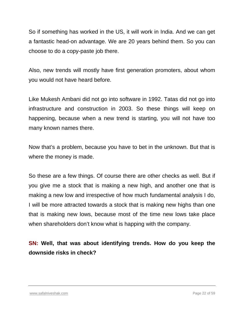So if something has worked in the US, it will work in India. And we can get a fantastic head-on advantage. We are 20 years behind them. So you can choose to do a copy-paste job there.

Also, new trends will mostly have first generation promoters, about whom you would not have heard before.

Like Mukesh Ambani did not go into software in 1992. Tatas did not go into infrastructure and construction in 2003. So these things will keep on happening, because when a new trend is starting, you will not have too many known names there.

Now that's a problem, because you have to bet in the unknown. But that is where the money is made.

So these are a few things. Of course there are other checks as well. But if you give me a stock that is making a new high, and another one that is making a new low and irrespective of how much fundamental analysis I do, I will be more attracted towards a stock that is making new highs than one that is making new lows, because most of the time new lows take place when shareholders don't know what is happing with the company.

## **SN: Well, that was about identifying trends. How do you keep the downside risks in check?**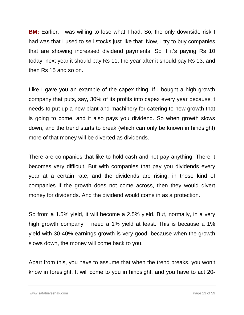**BM:** Earlier, I was willing to lose what I had. So, the only downside risk I had was that I used to sell stocks just like that. Now, I try to buy companies that are showing increased dividend payments. So if it's paying Rs 10 today, next year it should pay Rs 11, the year after it should pay Rs 13, and then Rs 15 and so on.

Like I gave you an example of the capex thing. If I bought a high growth company that puts, say, 30% of its profits into capex every year because it needs to put up a new plant and machinery for catering to new growth that is going to come, and it also pays you dividend. So when growth slows down, and the trend starts to break (which can only be known in hindsight) more of that money will be diverted as dividends.

There are companies that like to hold cash and not pay anything. There it becomes very difficult. But with companies that pay you dividends every year at a certain rate, and the dividends are rising, in those kind of companies if the growth does not come across, then they would divert money for dividends. And the dividend would come in as a protection.

So from a 1.5% yield, it will become a 2.5% yield. But, normally, in a very high growth company, I need a 1% yield at least. This is because a 1% yield with 30-40% earnings growth is very good, because when the growth slows down, the money will come back to you.

Apart from this, you have to assume that when the trend breaks, you won't know in foresight. It will come to you in hindsight, and you have to act 20-

[www.safalniveshak.com](http://www.safalniveshak.com/) Page 23 of 59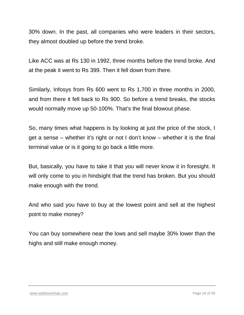30% down. In the past, all companies who were leaders in their sectors, they almost doubled up before the trend broke.

Like ACC was at Rs 130 in 1992, three months before the trend broke. And at the peak it went to Rs 399. Then it fell down from there.

Similarly, Infosys from Rs 600 went to Rs 1,700 in three months in 2000, and from there it fell back to Rs 900. So before a trend breaks, the stocks would normally move up 50-100%. That's the final blowout phase.

So, many times what happens is by looking at just the price of the stock, I get a sense – whether it's right or not I don't know – whether it is the final terminal value or is it going to go back a little more.

But, basically, you have to take it that you will never know it in foresight. It will only come to you in hindsight that the trend has broken. But you should make enough with the trend.

And who said you have to buy at the lowest point and sell at the highest point to make money?

You can buy somewhere near the lows and sell maybe 30% lower than the highs and still make enough money.

#### [www.safalniveshak.com](http://www.safalniveshak.com/) Page 24 of 59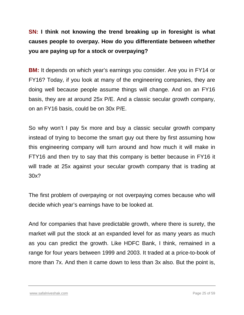**SN: I think not knowing the trend breaking up in foresight is what causes people to overpay. How do you differentiate between whether you are paying up for a stock or overpaying?**

**BM:** It depends on which year's earnings you consider. Are you in FY14 or FY16? Today, if you look at many of the engineering companies, they are doing well because people assume things will change. And on an FY16 basis, they are at around 25x P/E. And a classic secular growth company, on an FY16 basis, could be on 30x P/E.

So why won't I pay 5x more and buy a classic secular growth company instead of trying to become the smart guy out there by first assuming how this engineering company will turn around and how much it will make in FTY16 and then try to say that this company is better because in FY16 it will trade at 25x against your secular growth company that is trading at 30x?

The first problem of overpaying or not overpaying comes because who will decide which year's earnings have to be looked at.

And for companies that have predictable growth, where there is surety, the market will put the stock at an expanded level for as many years as much as you can predict the growth. Like HDFC Bank, I think, remained in a range for four years between 1999 and 2003. It traded at a price-to-book of more than 7x. And then it came down to less than 3x also. But the point is,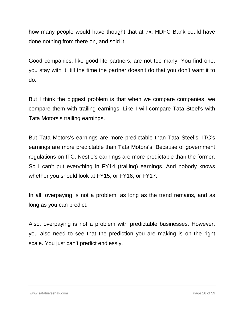how many people would have thought that at 7x, HDFC Bank could have done nothing from there on, and sold it.

Good companies, like good life partners, are not too many. You find one, you stay with it, till the time the partner doesn't do that you don't want it to do.

But I think the biggest problem is that when we compare companies, we compare them with trailing earnings. Like I will compare Tata Steel's with Tata Motors's trailing earnings.

But Tata Motors's earnings are more predictable than Tata Steel's. ITC's earnings are more predictable than Tata Motors's. Because of government regulations on ITC, Nestle's earnings are more predictable than the former. So I can't put everything in FY14 (trailing) earnings. And nobody knows whether you should look at FY15, or FY16, or FY17.

In all, overpaying is not a problem, as long as the trend remains, and as long as you can predict.

Also, overpaying is not a problem with predictable businesses. However, you also need to see that the prediction you are making is on the right scale. You just can't predict endlessly.

#### [www.safalniveshak.com](http://www.safalniveshak.com/) Page 26 of 59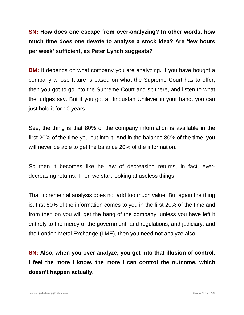**SN: How does one escape from over-analyzing? In other words, how much time does one devote to analyse a stock idea? Are 'few hours per week' sufficient, as Peter Lynch suggests?**

**BM:** It depends on what company you are analyzing. If you have bought a company whose future is based on what the Supreme Court has to offer, then you got to go into the Supreme Court and sit there, and listen to what the judges say. But if you got a Hindustan Unilever in your hand, you can just hold it for 10 years.

See, the thing is that 80% of the company information is available in the first 20% of the time you put into it. And in the balance 80% of the time, you will never be able to get the balance 20% of the information.

So then it becomes like he law of decreasing returns, in fact, everdecreasing returns. Then we start looking at useless things.

That incremental analysis does not add too much value. But again the thing is, first 80% of the information comes to you in the first 20% of the time and from then on you will get the hang of the company, unless you have left it entirely to the mercy of the government, and regulations, and judiciary, and the London Metal Exchange (LME), then you need not analyze also.

**SN: Also, when you over-analyze, you get into that illusion of control. I feel the more I know, the more I can control the outcome, which doesn't happen actually.**

[www.safalniveshak.com](http://www.safalniveshak.com/) Page 27 of 59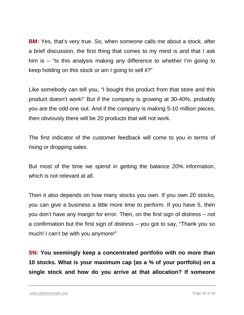**BM:** Yes, that's very true. So, when someone calls me about a stock, after a brief discussion, the first thing that comes to my mind is and that I ask him is – "Is this analysis making any difference to whether I'm going to keep holding on this stock or am I going to sell it?"

Like somebody can tell you, "I bought this product from that store and this product doesn't work!" But if the company is growing at 30-40%, probably you are the odd one out. And if the company is making 5-10 million pieces, then obviously there will be 20 products that will not work.

The first indicator of the customer feedback will come to you in terms of rising or dropping sales.

But most of the time we spend in getting the balance 20% information, which is not relevant at all.

Then it also depends on how many stocks you own. If you own 20 stocks, you can give a business a little more time to perform. If you have 5, then you don't have any margin for error. Then, on the first sign of distress – not a confirmation but the first sign of distress – you got to say, "Thank you so much! I can't be with you anymore!"

**SN: You seemingly keep a concentrated portfolio with no more than 10 stocks. What is your maximum cap (as a % of your portfolio) on a single stock and how do you arrive at that allocation? If someone**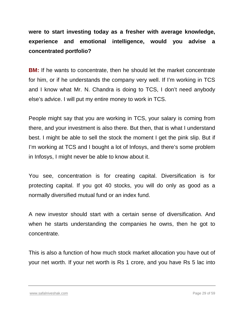**were to start investing today as a fresher with average knowledge, experience and emotional intelligence, would you advise a concentrated portfolio?**

**BM:** If he wants to concentrate, then he should let the market concentrate for him, or if he understands the company very well. If I'm working in TCS and I know what Mr. N. Chandra is doing to TCS, I don't need anybody else's advice. I will put my entire money to work in TCS.

People might say that you are working in TCS, your salary is coming from there, and your investment is also there. But then, that is what I understand best. I might be able to sell the stock the moment I get the pink slip. But if I'm working at TCS and I bought a lot of Infosys, and there's some problem in Infosys, I might never be able to know about it.

You see, concentration is for creating capital. Diversification is for protecting capital. If you got 40 stocks, you will do only as good as a normally diversified mutual fund or an index fund.

A new investor should start with a certain sense of diversification. And when he starts understanding the companies he owns, then he got to concentrate.

This is also a function of how much stock market allocation you have out of your net worth. If your net worth is Rs 1 crore, and you have Rs 5 lac into

[www.safalniveshak.com](http://www.safalniveshak.com/) Page 29 of 59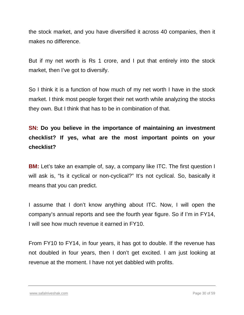the stock market, and you have diversified it across 40 companies, then it makes no difference.

But if my net worth is Rs 1 crore, and I put that entirely into the stock market, then I've got to diversify.

So I think it is a function of how much of my net worth I have in the stock market. I think most people forget their net worth while analyzing the stocks they own. But I think that has to be in combination of that.

**SN: Do you believe in the importance of maintaining an investment checklist? If yes, what are the most important points on your checklist?**

**BM:** Let's take an example of, say, a company like ITC. The first question I will ask is, "Is it cyclical or non-cyclical?" It's not cyclical. So, basically it means that you can predict.

I assume that I don't know anything about ITC. Now, I will open the company's annual reports and see the fourth year figure. So if I'm in FY14, I will see how much revenue it earned in FY10.

From FY10 to FY14, in four years, it has got to double. If the revenue has not doubled in four years, then I don't get excited. I am just looking at revenue at the moment. I have not yet dabbled with profits.

[www.safalniveshak.com](http://www.safalniveshak.com/) Page 30 of 59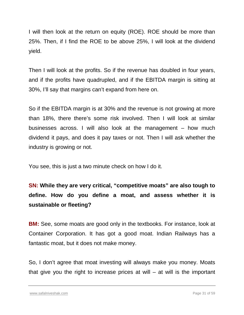I will then look at the return on equity (ROE). ROE should be more than 25%. Then, if I find the ROE to be above 25%, I will look at the dividend yield.

Then I will look at the profits. So if the revenue has doubled in four years, and if the profits have quadrupled, and if the EBITDA margin is sitting at 30%, I'll say that margins can't expand from here on.

So if the EBITDA margin is at 30% and the revenue is not growing at more than 18%, there there's some risk involved. Then I will look at similar businesses across. I will also look at the management – how much dividend it pays, and does it pay taxes or not. Then I will ask whether the industry is growing or not.

You see, this is just a two minute check on how I do it.

**SN: While they are very critical, "competitive moats" are also tough to define. How do you define a moat, and assess whether it is sustainable or fleeting?**

**BM:** See, some moats are good only in the textbooks. For instance, look at Container Corporation. It has got a good moat. Indian Railways has a fantastic moat, but it does not make money.

So, I don't agree that moat investing will always make you money. Moats that give you the right to increase prices at will – at will is the important

[www.safalniveshak.com](http://www.safalniveshak.com/) Page 31 of 59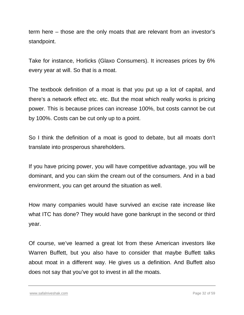term here – those are the only moats that are relevant from an investor's standpoint.

Take for instance, Horlicks (Glaxo Consumers). It increases prices by 6% every year at will. So that is a moat.

The textbook definition of a moat is that you put up a lot of capital, and there's a network effect etc. etc. But the moat which really works is pricing power. This is because prices can increase 100%, but costs cannot be cut by 100%. Costs can be cut only up to a point.

So I think the definition of a moat is good to debate, but all moats don't translate into prosperous shareholders.

If you have pricing power, you will have competitive advantage, you will be dominant, and you can skim the cream out of the consumers. And in a bad environment, you can get around the situation as well.

How many companies would have survived an excise rate increase like what ITC has done? They would have gone bankrupt in the second or third year.

Of course, we've learned a great lot from these American investors like Warren Buffett, but you also have to consider that maybe Buffett talks about moat in a different way. He gives us a definition. And Buffett also does not say that you've got to invest in all the moats.

[www.safalniveshak.com](http://www.safalniveshak.com/) Page 32 of 59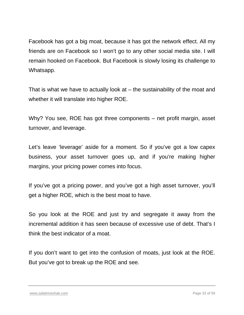Facebook has got a big moat, because it has got the network effect. All my friends are on Facebook so I won't go to any other social media site. I will remain hooked on Facebook. But Facebook is slowly losing its challenge to Whatsapp.

That is what we have to actually look at  $-$  the sustainability of the moat and whether it will translate into higher ROE.

Why? You see, ROE has got three components – net profit margin, asset turnover, and leverage.

Let's leave 'leverage' aside for a moment. So if you've got a low capex business, your asset turnover goes up, and if you're making higher margins, your pricing power comes into focus.

If you've got a pricing power, and you've got a high asset turnover, you'll get a higher ROE, which is the best moat to have.

So you look at the ROE and just try and segregate it away from the incremental addition it has seen because of excessive use of debt. That's I think the best indicator of a moat.

If you don't want to get into the confusion of moats, just look at the ROE. But you've got to break up the ROE and see.

[www.safalniveshak.com](http://www.safalniveshak.com/) Page 33 of 59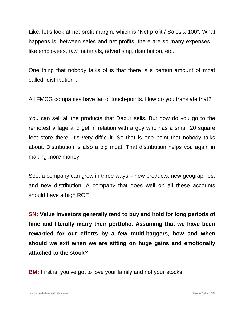Like, let's look at net profit margin, which is "Net profit / Sales x 100". What happens is, between sales and net profits, there are so many expenses – like employees, raw materials, advertising, distribution, etc.

One thing that nobody talks of is that there is a certain amount of moat called "distribution".

All FMCG companies have lac of touch-points. How do you translate that?

You can sell all the products that Dabur sells. But how do you go to the remotest village and get in relation with a guy who has a small 20 square feet store there. It's very difficult. So that is one point that nobody talks about. Distribution is also a big moat. That distribution helps you again in making more money.

See, a company can grow in three ways – new products, new geographies, and new distribution. A company that does well on all these accounts should have a high ROE.

**SN: Value investors generally tend to buy and hold for long periods of time and literally marry their portfolio. Assuming that we have been rewarded for our efforts by a few multi-baggers, how and when should we exit when we are sitting on huge gains and emotionally attached to the stock?**

**BM:** First is, you've got to love your family and not your stocks.

[www.safalniveshak.com](http://www.safalniveshak.com/) Page 34 of 59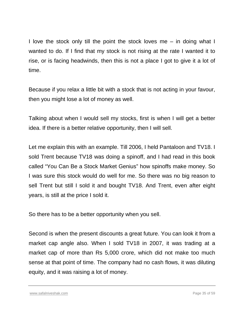I love the stock only till the point the stock loves me – in doing what I wanted to do. If I find that my stock is not rising at the rate I wanted it to rise, or is facing headwinds, then this is not a place I got to give it a lot of time.

Because if you relax a little bit with a stock that is not acting in your favour, then you might lose a lot of money as well.

Talking about when I would sell my stocks, first is when I will get a better idea. If there is a better relative opportunity, then I will sell.

Let me explain this with an example. Till 2006, I held Pantaloon and TV18. I sold Trent because TV18 was doing a spinoff, and I had read in this book called "You Can Be a Stock Market Genius" how spinoffs make money. So I was sure this stock would do well for me. So there was no big reason to sell Trent but still I sold it and bought TV18. And Trent, even after eight years, is still at the price I sold it.

So there has to be a better opportunity when you sell.

Second is when the present discounts a great future. You can look it from a market cap angle also. When I sold TV18 in 2007, it was trading at a market cap of more than Rs 5,000 crore, which did not make too much sense at that point of time. The company had no cash flows, it was diluting equity, and it was raising a lot of money.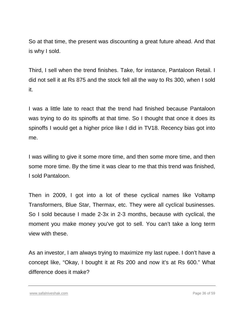So at that time, the present was discounting a great future ahead. And that is why I sold.

Third, I sell when the trend finishes. Take, for instance, Pantaloon Retail. I did not sell it at Rs 875 and the stock fell all the way to Rs 300, when I sold it.

I was a little late to react that the trend had finished because Pantaloon was trying to do its spinoffs at that time. So I thought that once it does its spinoffs I would get a higher price like I did in TV18. Recency bias got into me.

I was willing to give it some more time, and then some more time, and then some more time. By the time it was clear to me that this trend was finished, I sold Pantaloon.

Then in 2009, I got into a lot of these cyclical names like Voltamp Transformers, Blue Star, Thermax, etc. They were all cyclical businesses. So I sold because I made 2-3x in 2-3 months, because with cyclical, the moment you make money you've got to sell. You can't take a long term view with these.

As an investor, I am always trying to maximize my last rupee. I don't have a concept like, "Okay, I bought it at Rs 200 and now it's at Rs 600." What difference does it make?

[www.safalniveshak.com](http://www.safalniveshak.com/) Page 36 of 59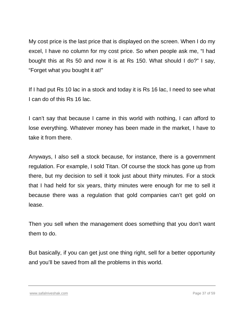My cost price is the last price that is displayed on the screen. When I do my excel, I have no column for my cost price. So when people ask me, "I had bought this at Rs 50 and now it is at Rs 150. What should I do?" I say, "Forget what you bought it at!"

If I had put Rs 10 lac in a stock and today it is Rs 16 lac, I need to see what I can do of this Rs 16 lac.

I can't say that because I came in this world with nothing, I can afford to lose everything. Whatever money has been made in the market, I have to take it from there.

Anyways, I also sell a stock because, for instance, there is a government regulation. For example, I sold Titan. Of course the stock has gone up from there, but my decision to sell it took just about thirty minutes. For a stock that I had held for six years, thirty minutes were enough for me to sell it because there was a regulation that gold companies can't get gold on lease.

Then you sell when the management does something that you don't want them to do.

But basically, if you can get just one thing right, sell for a better opportunity and you'll be saved from all the problems in this world.

[www.safalniveshak.com](http://www.safalniveshak.com/) Page 37 of 59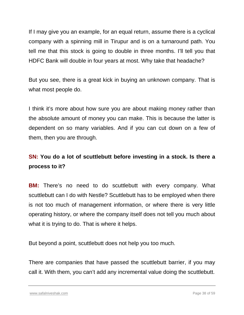If I may give you an example, for an equal return, assume there is a cyclical company with a spinning mill in Tirupur and is on a turnaround path. You tell me that this stock is going to double in three months. I'll tell you that HDFC Bank will double in four years at most. Why take that headache?

But you see, there is a great kick in buying an unknown company. That is what most people do.

I think it's more about how sure you are about making money rather than the absolute amount of money you can make. This is because the latter is dependent on so many variables. And if you can cut down on a few of them, then you are through.

## **SN: You do a lot of scuttlebutt before investing in a stock. Is there a process to it?**

**BM:** There's no need to do scuttlebutt with every company. What scuttlebutt can I do with Nestle? Scuttlebutt has to be employed when there is not too much of management information, or where there is very little operating history, or where the company itself does not tell you much about what it is trying to do. That is where it helps.

But beyond a point, scuttlebutt does not help you too much.

There are companies that have passed the scuttlebutt barrier, if you may call it. With them, you can't add any incremental value doing the scuttlebutt.

[www.safalniveshak.com](http://www.safalniveshak.com/) Page 38 of 59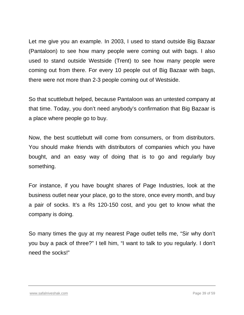Let me give you an example. In 2003, I used to stand outside Big Bazaar (Pantaloon) to see how many people were coming out with bags. I also used to stand outside Westside (Trent) to see how many people were coming out from there. For every 10 people out of Big Bazaar with bags, there were not more than 2-3 people coming out of Westside.

So that scuttlebutt helped, because Pantaloon was an untested company at that time. Today, you don't need anybody's confirmation that Big Bazaar is a place where people go to buy.

Now, the best scuttlebutt will come from consumers, or from distributors. You should make friends with distributors of companies which you have bought, and an easy way of doing that is to go and regularly buy something.

For instance, if you have bought shares of Page Industries, look at the business outlet near your place, go to the store, once every month, and buy a pair of socks. It's a Rs 120-150 cost, and you get to know what the company is doing.

So many times the guy at my nearest Page outlet tells me, "Sir why don't you buy a pack of three?" I tell him, "I want to talk to you regularly. I don't need the socks!"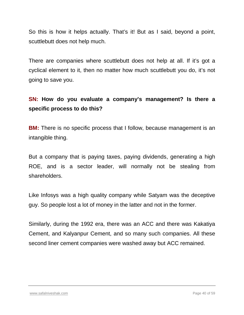So this is how it helps actually. That's it! But as I said, beyond a point, scuttlebutt does not help much.

There are companies where scuttlebutt does not help at all. If it's got a cyclical element to it, then no matter how much scuttlebutt you do, it's not going to save you.

#### **SN: How do you evaluate a company's management? Is there a specific process to do this?**

**BM:** There is no specific process that I follow, because management is an intangible thing.

But a company that is paying taxes, paying dividends, generating a high ROE, and is a sector leader, will normally not be stealing from shareholders.

Like Infosys was a high quality company while Satyam was the deceptive guy. So people lost a lot of money in the latter and not in the former.

Similarly, during the 1992 era, there was an ACC and there was Kakatiya Cement, and Kalyanpur Cement, and so many such companies. All these second liner cement companies were washed away but ACC remained.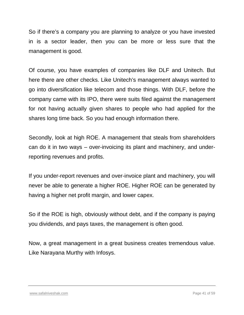So if there's a company you are planning to analyze or you have invested in is a sector leader, then you can be more or less sure that the management is good.

Of course, you have examples of companies like DLF and Unitech. But here there are other checks. Like Unitech's management always wanted to go into diversification like telecom and those things. With DLF, before the company came with its IPO, there were suits filed against the management for not having actually given shares to people who had applied for the shares long time back. So you had enough information there.

Secondly, look at high ROE. A management that steals from shareholders can do it in two ways – over-invoicing its plant and machinery, and underreporting revenues and profits.

If you under-report revenues and over-invoice plant and machinery, you will never be able to generate a higher ROE. Higher ROE can be generated by having a higher net profit margin, and lower capex.

So if the ROE is high, obviously without debt, and if the company is paying you dividends, and pays taxes, the management is often good.

Now, a great management in a great business creates tremendous value. Like Narayana Murthy with Infosys.

#### [www.safalniveshak.com](http://www.safalniveshak.com/) Page 41 of 59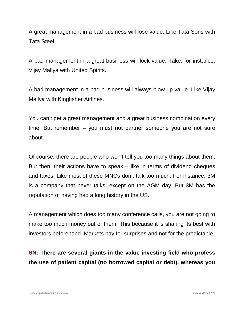A great management in a bad business will lose value. Like Tata Sons with Tata Steel.

A bad management in a great business will lock value. Take, for instance, Vijay Mallya with United Spirits.

A bad management in a bad business will always blow up value. Like Vijay Mallya with Kingfisher Airlines.

You can't get a great management and a great business combination every time. But remember – you must not partner someone you are not sure about.

Of course, there are people who won't tell you too many things about them. But then, their actions have to speak – like in terms of dividend cheques and taxes. Like most of these MNCs don't talk too much. For instance, 3M is a company that never talks, except on the AGM day. But 3M has the reputation of having had a long history in the US.

A management which does too many conference calls, you are not going to make too much money out of them. This because it is sharing its best with investors beforehand. Markets pay for surprises and not for the predictable.

**SN: There are several giants in the value investing field who profess the use of patient capital (no borrowed capital or debt), whereas you**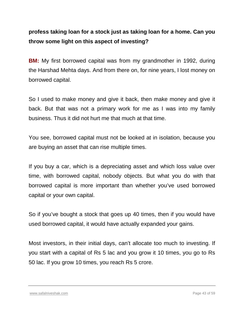#### **profess taking loan for a stock just as taking loan for a home. Can you throw some light on this aspect of investing?**

**BM:** My first borrowed capital was from my grandmother in 1992, during the Harshad Mehta days. And from there on, for nine years, I lost money on borrowed capital.

So I used to make money and give it back, then make money and give it back. But that was not a primary work for me as I was into my family business. Thus it did not hurt me that much at that time.

You see, borrowed capital must not be looked at in isolation, because you are buying an asset that can rise multiple times.

If you buy a car, which is a depreciating asset and which loss value over time, with borrowed capital, nobody objects. But what you do with that borrowed capital is more important than whether you've used borrowed capital or your own capital.

So if you've bought a stock that goes up 40 times, then if you would have used borrowed capital, it would have actually expanded your gains.

Most investors, in their initial days, can't allocate too much to investing. If you start with a capital of Rs 5 lac and you grow it 10 times, you go to Rs 50 lac. If you grow 10 times, you reach Rs 5 crore.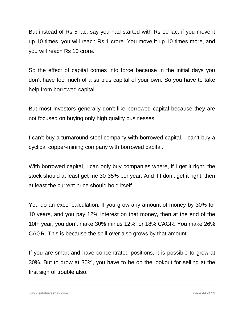But instead of Rs 5 lac, say you had started with Rs 10 lac, if you move it up 10 times, you will reach Rs 1 crore. You move it up 10 times more, and you will reach Rs 10 crore.

So the effect of capital comes into force because in the initial days you don't have too much of a surplus capital of your own. So you have to take help from borrowed capital.

But most investors generally don't like borrowed capital because they are not focused on buying only high quality businesses.

I can't buy a turnaround steel company with borrowed capital. I can't buy a cyclical copper-mining company with borrowed capital.

With borrowed capital, I can only buy companies where, if I get it right, the stock should at least get me 30-35% per year. And if I don't get it right, then at least the current price should hold itself.

You do an excel calculation. If you grow any amount of money by 30% for 10 years, and you pay 12% interest on that money, then at the end of the 10th year, you don't make 30% minus 12%, or 18% CAGR. You make 26% CAGR. This is because the spill-over also grows by that amount.

If you are smart and have concentrated positions, it is possible to grow at 30%. But to grow at 30%, you have to be on the lookout for selling at the first sign of trouble also.

[www.safalniveshak.com](http://www.safalniveshak.com/) Page 44 of 59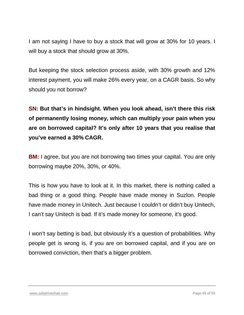I am not saying I have to buy a stock that will grow at 30% for 10 years. I will buy a stock that should grow at 30%.

But keeping the stock selection process aside, with 30% growth and 12% interest payment, you will make 26% every year, on a CAGR basis. So why should you not borrow?

**SN: But that's in hindsight. When you look ahead, isn't there this risk of permanently losing money, which can multiply your pain when you are on borrowed capital? It's only after 10 years that you realise that you've earned a 30% CAGR.**

**BM:** I agree, but you are not borrowing two times your capital. You are only borrowing maybe 20%, 30%, or 40%.

This is how you have to look at it. In this market, there is nothing called a bad thing or a good thing. People have made money in Suzlon. People have made money in Unitech. Just because I couldn't or didn't buy Unitech, I can't say Unitech is bad. If it's made money for someone, it's good.

I won't say betting is bad, but obviously it's a question of probabilities. Why people get is wrong is, if you are on borrowed capital, and if you are on borrowed conviction, then that's a bigger problem.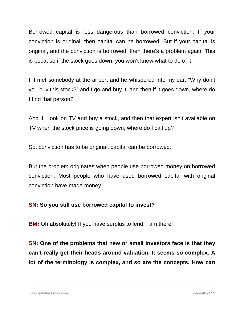Borrowed capital is less dangerous than borrowed conviction. If your conviction is original, then capital can be borrowed. But if your capital is original, and the conviction is borrowed, then there's a problem again. This is because if the stock goes down, you won't know what to do of it.

If I met somebody at the airport and he whispered into my ear, "Why don't you buy this stock?" and I go and buy it, and then if it goes down, where do I find that person?

And if I look on TV and buy a stock, and then that expert isn't available on TV when the stock price is going down, where do I call up?

So, conviction has to be original, capital can be borrowed.

But the problem originates when people use borrowed money on borrowed conviction. Most people who have used borrowed capital with original conviction have made money.

#### **SN: So you still use borrowed capital to invest?**

**BM:** Oh absolutely! If you have surplus to lend, I am there!

**SN: One of the problems that new or small investors face is that they can't really get their heads around valuation. It seems so complex. A lot of the terminology is complex, and so are the concepts. How can**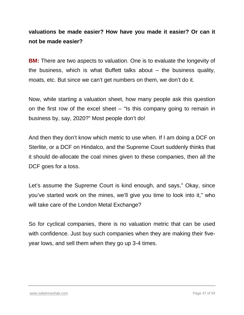#### **valuations be made easier? How have you made it easier? Or can it not be made easier?**

**BM:** There are two aspects to valuation. One is to evaluate the longevity of the business, which is what Buffett talks about  $-$  the business quality, moats, etc. But since we can't get numbers on them, we don't do it.

Now, while starting a valuation sheet, how many people ask this question on the first row of the excel sheet – "Is this company going to remain in business by, say, 2020?" Most people don't do!

And then they don't know which metric to use when. If I am doing a DCF on Sterlite, or a DCF on Hindalco, and the Supreme Court suddenly thinks that it should de-allocate the coal mines given to these companies, then all the DCF goes for a toss.

Let's assume the Supreme Court is kind enough, and says," Okay, since you've started work on the mines, we'll give you time to look into it," who will take care of the London Metal Exchange?

So for cyclical companies, there is no valuation metric that can be used with confidence. Just buy such companies when they are making their fiveyear lows, and sell them when they go up 3-4 times.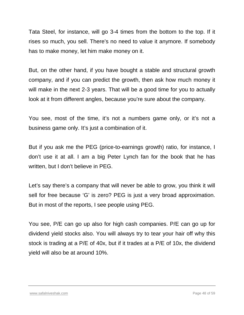Tata Steel, for instance, will go 3-4 times from the bottom to the top. If it rises so much, you sell. There's no need to value it anymore. If somebody has to make money, let him make money on it.

But, on the other hand, if you have bought a stable and structural growth company, and if you can predict the growth, then ask how much money it will make in the next 2-3 years. That will be a good time for you to actually look at it from different angles, because you're sure about the company.

You see, most of the time, it's not a numbers game only, or it's not a business game only. It's just a combination of it.

But if you ask me the PEG (price-to-earnings growth) ratio, for instance, I don't use it at all. I am a big Peter Lynch fan for the book that he has written, but I don't believe in PEG.

Let's say there's a company that will never be able to grow, you think it will sell for free because 'G' is zero? PEG is just a very broad approximation. But in most of the reports, I see people using PEG.

You see, P/E can go up also for high cash companies. P/E can go up for dividend yield stocks also. You will always try to tear your hair off why this stock is trading at a P/E of 40x, but if it trades at a P/E of 10x, the dividend yield will also be at around 10%.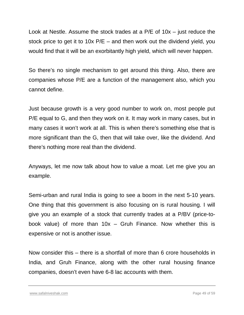Look at Nestle. Assume the stock trades at a P/E of 10x – just reduce the stock price to get it to 10x P/E – and then work out the dividend yield, you would find that it will be an exorbitantly high yield, which will never happen.

So there's no single mechanism to get around this thing. Also, there are companies whose P/E are a function of the management also, which you cannot define.

Just because growth is a very good number to work on, most people put P/E equal to G, and then they work on it. It may work in many cases, but in many cases it won't work at all. This is when there's something else that is more significant than the G, then that will take over, like the dividend. And there's nothing more real than the dividend.

Anyways, let me now talk about how to value a moat. Let me give you an example.

Semi-urban and rural India is going to see a boom in the next 5-10 years. One thing that this government is also focusing on is rural housing. I will give you an example of a stock that currently trades at a P/BV (price-tobook value) of more than  $10x -$  Gruh Finance. Now whether this is expensive or not is another issue.

Now consider this – there is a shortfall of more than 6 crore households in India, and Gruh Finance, along with the other rural housing finance companies, doesn't even have 6-8 lac accounts with them.

[www.safalniveshak.com](http://www.safalniveshak.com/) Page 49 of 59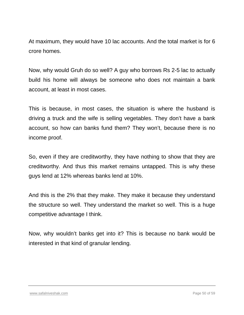At maximum, they would have 10 lac accounts. And the total market is for 6 crore homes.

Now, why would Gruh do so well? A guy who borrows Rs 2-5 lac to actually build his home will always be someone who does not maintain a bank account, at least in most cases.

This is because, in most cases, the situation is where the husband is driving a truck and the wife is selling vegetables. They don't have a bank account, so how can banks fund them? They won't, because there is no income proof.

So, even if they are creditworthy, they have nothing to show that they are creditworthy. And thus this market remains untapped. This is why these guys lend at 12% whereas banks lend at 10%.

And this is the 2% that they make. They make it because they understand the structure so well. They understand the market so well. This is a huge competitive advantage I think.

Now, why wouldn't banks get into it? This is because no bank would be interested in that kind of granular lending.

#### [www.safalniveshak.com](http://www.safalniveshak.com/) Page 50 of 59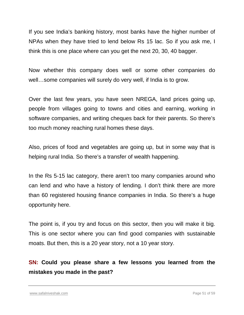If you see India's banking history, most banks have the higher number of NPAs when they have tried to lend below Rs 15 lac. So if you ask me, I think this is one place where can you get the next 20, 30, 40 bagger.

Now whether this company does well or some other companies do well…some companies will surely do very well, if India is to grow.

Over the last few years, you have seen NREGA, land prices going up, people from villages going to towns and cities and earning, working in software companies, and writing cheques back for their parents. So there's too much money reaching rural homes these days.

Also, prices of food and vegetables are going up, but in some way that is helping rural India. So there's a transfer of wealth happening.

In the Rs 5-15 lac category, there aren't too many companies around who can lend and who have a history of lending. I don't think there are more than 60 registered housing finance companies in India. So there's a huge opportunity here.

The point is, if you try and focus on this sector, then you will make it big. This is one sector where you can find good companies with sustainable moats. But then, this is a 20 year story, not a 10 year story.

#### **SN: Could you please share a few lessons you learned from the mistakes you made in the past?**

[www.safalniveshak.com](http://www.safalniveshak.com/) Page 51 of 59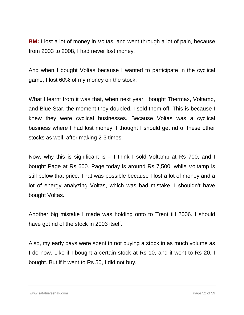**BM:** I lost a lot of money in Voltas, and went through a lot of pain, because from 2003 to 2008, I had never lost money.

And when I bought Voltas because I wanted to participate in the cyclical game, I lost 60% of my money on the stock.

What I learnt from it was that, when next year I bought Thermax, Voltamp, and Blue Star, the moment they doubled, I sold them off. This is because I knew they were cyclical businesses. Because Voltas was a cyclical business where I had lost money, I thought I should get rid of these other stocks as well, after making 2-3 times.

Now, why this is significant is – I think I sold Voltamp at Rs 700, and I bought Page at Rs 600. Page today is around Rs 7,500, while Voltamp is still below that price. That was possible because I lost a lot of money and a lot of energy analyzing Voltas, which was bad mistake. I shouldn't have bought Voltas.

Another big mistake I made was holding onto to Trent till 2006. I should have got rid of the stock in 2003 itself.

Also, my early days were spent in not buying a stock in as much volume as I do now. Like if I bought a certain stock at Rs 10, and it went to Rs 20, I bought. But if it went to Rs 50, I did not buy.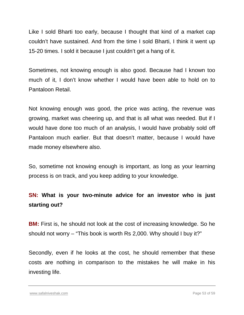Like I sold Bharti too early, because I thought that kind of a market cap couldn't have sustained. And from the time I sold Bharti, I think it went up 15-20 times. I sold it because I just couldn't get a hang of it.

Sometimes, not knowing enough is also good. Because had I known too much of it, I don't know whether I would have been able to hold on to Pantaloon Retail.

Not knowing enough was good, the price was acting, the revenue was growing, market was cheering up, and that is all what was needed. But if I would have done too much of an analysis, I would have probably sold off Pantaloon much earlier. But that doesn't matter, because I would have made money elsewhere also.

So, sometime not knowing enough is important, as long as your learning process is on track, and you keep adding to your knowledge.

#### **SN: What is your two-minute advice for an investor who is just starting out?**

**BM:** First is, he should not look at the cost of increasing knowledge. So he should not worry – "This book is worth Rs 2,000. Why should I buy it?"

Secondly, even if he looks at the cost, he should remember that these costs are nothing in comparison to the mistakes he will make in his investing life.

[www.safalniveshak.com](http://www.safalniveshak.com/) Page 53 of 59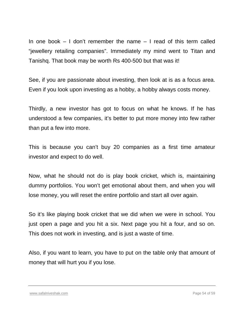In one book  $-1$  don't remember the name  $-1$  read of this term called "jewellery retailing companies". Immediately my mind went to Titan and Tanishq. That book may be worth Rs 400-500 but that was it!

See, if you are passionate about investing, then look at is as a focus area. Even if you look upon investing as a hobby, a hobby always costs money.

Thirdly, a new investor has got to focus on what he knows. If he has understood a few companies, it's better to put more money into few rather than put a few into more.

This is because you can't buy 20 companies as a first time amateur investor and expect to do well.

Now, what he should not do is play book cricket, which is, maintaining dummy portfolios. You won't get emotional about them, and when you will lose money, you will reset the entire portfolio and start all over again.

So it's like playing book cricket that we did when we were in school. You just open a page and you hit a six. Next page you hit a four, and so on. This does not work in investing, and is just a waste of time.

Also, if you want to learn, you have to put on the table only that amount of money that will hurt you if you lose.

[www.safalniveshak.com](http://www.safalniveshak.com/) Page 54 of 59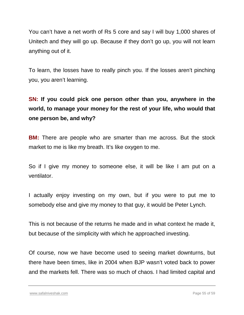You can't have a net worth of Rs 5 core and say I will buy 1,000 shares of Unitech and they will go up. Because if they don't go up, you will not learn anything out of it.

To learn, the losses have to really pinch you. If the losses aren't pinching you, you aren't learning.

**SN: If you could pick one person other than you, anywhere in the world, to manage your money for the rest of your life, who would that one person be, and why?**

**BM:** There are people who are smarter than me across. But the stock market to me is like my breath. It's like oxygen to me.

So if I give my money to someone else, it will be like I am put on a ventilator.

I actually enjoy investing on my own, but if you were to put me to somebody else and give my money to that guy, it would be Peter Lynch.

This is not because of the returns he made and in what context he made it, but because of the simplicity with which he approached investing.

Of course, now we have become used to seeing market downturns, but there have been times, like in 2004 when BJP wasn't voted back to power and the markets fell. There was so much of chaos. I had limited capital and

[www.safalniveshak.com](http://www.safalniveshak.com/) Page 55 of 59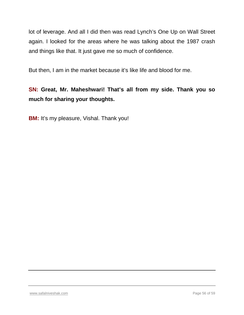lot of leverage. And all I did then was read Lynch's One Up on Wall Street again. I looked for the areas where he was talking about the 1987 crash and things like that. It just gave me so much of confidence.

But then, I am in the market because it's like life and blood for me.

## **SN: Great, Mr. Maheshwari! That's all from my side. Thank you so much for sharing your thoughts.**

**BM:** It's my pleasure, Vishal. Thank you!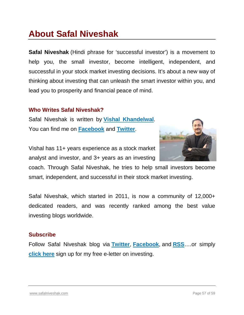## **About Safal Niveshak**

**Safal Niveshak** (Hindi phrase for 'successful investor') is a movement to help you, the small investor, become intelligent, independent, and successful in your stock market investing decisions. It's about a new way of thinking about investing that can unleash the smart investor within you, and lead you to prosperity and financial peace of mind.

#### **Who Writes Safal Niveshak?**

Safal Niveshak is written by **[Vishal Khandelwal](http://www.safalniveshak.com/about-vishal/)**. You can find me on **[Facebook](http://www.facebook.com/niveshak)** and **[Twitter](https://twitter.com/safalniveshak)**.

Vishal has 11+ years experience as a stock market analyst and investor, and 3+ years as an investing



coach. Through Safal Niveshak, he tries to help small investors become smart, independent, and successful in their stock market investing.

Safal Niveshak, which started in 2011, is now a community of 12,000+ dedicated readers, and was recently ranked among the best value investing blogs worldwide.

#### **Subscribe**

Follow Safal Niveshak blog via **[Twitter](https://twitter.com/safalniveshak)**, **[Facebook](http://www.facebook.com/niveshak)**, and **[RSS](http://www.safalniveshak.com/feed/)**….or simply **[click here](http://www.safalniveshak.com/the-safal-niveshak-post-free-sign-up/)** sign up for my free e-letter on investing.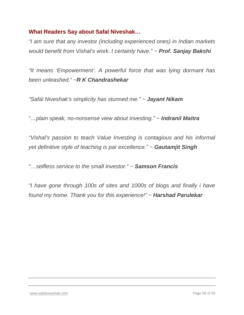#### **What Readers Say about Safal Niveshak…**

*"I am sure that any investor (including experienced ones) in Indian markets would benefit from Vishal's work. I certainly have." ~ Prof. Sanjay Bakshi*

*"It means 'Empowerment'. A powerful force that was lying dormant has been unleashed." ~R K Chandrashekar*

*"Safal Niveshak's simplicity has stunned me." ~ Jayant Nikam*

*"…plain speak, no-nonsense view about investing." ~ Indranil Maitra*

*"Vishal's passion to teach Value Investing is contagious and his informal yet definitive style of teaching is par excellence." ~ Gautamjit Singh*

*"…selfless service to the small investor." ~ Samson Francis*

*"I have gone through 100s of sites and 1000s of blogs and finally i have found my home. Thank you for this experience!" ~ Harshad Parulekar*